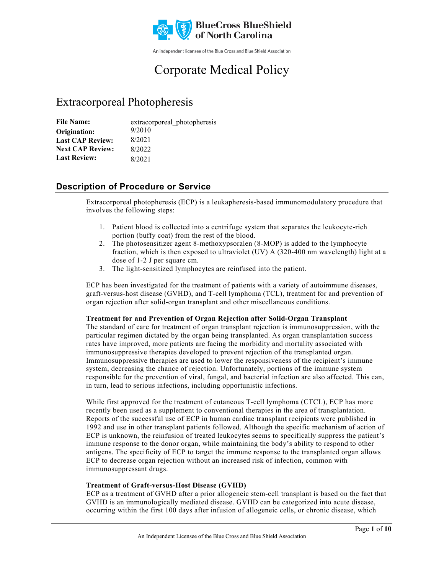

An independent licensee of the Blue Cross and Blue Shield Association

# Corporate Medical Policy

# Extracorporeal Photopheresis

| <b>File Name:</b>       | extracorporeal photopheresis |
|-------------------------|------------------------------|
| Origination:            | 9/2010                       |
| <b>Last CAP Review:</b> | 8/2021                       |
| <b>Next CAP Review:</b> | 8/2022                       |
| <b>Last Review:</b>     | 8/2021                       |

# **Description of Procedure or Service**

Extracorporeal photopheresis (ECP) is a leukapheresis-based immunomodulatory procedure that involves the following steps:

- 1. Patient blood is collected into a centrifuge system that separates the leukocyte-rich portion (buffy coat) from the rest of the blood.
- 2. The photosensitizer agent 8-methoxypsoralen (8-MOP) is added to the lymphocyte fraction, which is then exposed to ultraviolet (UV) A (320-400 nm wavelength) light at a dose of 1-2 J per square cm.
- 3. The light-sensitized lymphocytes are reinfused into the patient.

ECP has been investigated for the treatment of patients with a variety of autoimmune diseases, graft-versus-host disease (GVHD), and T-cell lymphoma (TCL), treatment for and prevention of organ rejection after solid-organ transplant and other miscellaneous conditions.

# **Treatment for and Prevention of Organ Rejection after Solid-Organ Transplant**

The standard of care for treatment of organ transplant rejection is immunosuppression, with the particular regimen dictated by the organ being transplanted. As organ transplantation success rates have improved, more patients are facing the morbidity and mortality associated with immunosuppressive therapies developed to prevent rejection of the transplanted organ. Immunosuppressive therapies are used to lower the responsiveness of the recipient's immune system, decreasing the chance of rejection. Unfortunately, portions of the immune system responsible for the prevention of viral, fungal, and bacterial infection are also affected. This can, in turn, lead to serious infections, including opportunistic infections.

While first approved for the treatment of cutaneous T-cell lymphoma (CTCL), ECP has more recently been used as a supplement to conventional therapies in the area of transplantation. Reports of the successful use of ECP in human cardiac transplant recipients were published in 1992 and use in other transplant patients followed. Although the specific mechanism of action of ECP is unknown, the reinfusion of treated leukocytes seems to specifically suppress the patient's immune response to the donor organ, while maintaining the body's ability to respond to other antigens. The specificity of ECP to target the immune response to the transplanted organ allows ECP to decrease organ rejection without an increased risk of infection, common with immunosuppressant drugs.

# **Treatment of Graft-versus-Host Disease (GVHD)**

ECP as a treatment of GVHD after a prior allogeneic stem-cell transplant is based on the fact that GVHD is an immunologically mediated disease. GVHD can be categorized into acute disease, occurring within the first 100 days after infusion of allogeneic cells, or chronic disease, which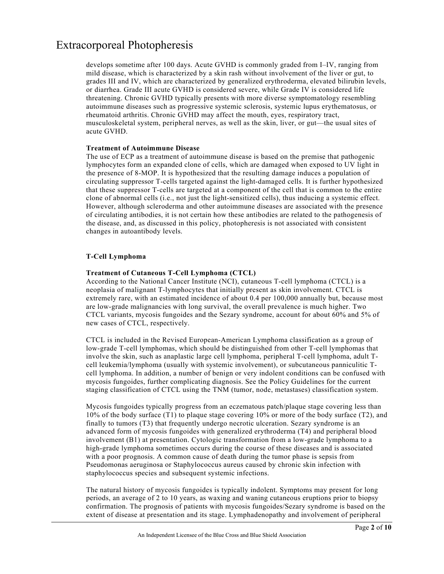develops sometime after 100 days. Acute GVHD is commonly graded from I–IV, ranging from mild disease, which is characterized by a skin rash without involvement of the liver or gut, to grades III and IV, which are characterized by generalized erythroderma, elevated bilirubin levels, or diarrhea. Grade III acute GVHD is considered severe, while Grade IV is considered life threatening. Chronic GVHD typically presents with more diverse symptomatology resembling autoimmune diseases such as progressive systemic sclerosis, systemic lupus erythematosus, or rheumatoid arthritis. Chronic GVHD may affect the mouth, eyes, respiratory tract, musculoskeletal system, peripheral nerves, as well as the skin, liver, or gut—the usual sites of acute GVHD.

#### **Treatment of Autoimmune Disease**

The use of ECP as a treatment of autoimmune disease is based on the premise that pathogenic lymphocytes form an expanded clone of cells, which are damaged when exposed to UV light in the presence of 8-MOP. It is hypothesized that the resulting damage induces a population of circulating suppressor T-cells targeted against the light-damaged cells. It is further hypothesized that these suppressor T-cells are targeted at a component of the cell that is common to the entire clone of abnormal cells (i.e., not just the light-sensitized cells), thus inducing a systemic effect. However, although scleroderma and other autoimmune diseases are associated with the presence of circulating antibodies, it is not certain how these antibodies are related to the pathogenesis of the disease, and, as discussed in this policy, photopheresis is not associated with consistent changes in autoantibody levels.

# **T-Cell Lymphoma**

# **Treatment of Cutaneous T-Cell Lymphoma (CTCL)**

According to the National Cancer Institute (NCI), cutaneous T-cell lymphoma (CTCL) is a neoplasia of malignant T-lymphocytes that initially present as skin involvement. CTCL is extremely rare, with an estimated incidence of about 0.4 per 100,000 annually but, because most are low-grade malignancies with long survival, the overall prevalence is much higher. Two CTCL variants, mycosis fungoides and the Sezary syndrome, account for about 60% and 5% of new cases of CTCL, respectively.

CTCL is included in the Revised European-American Lymphoma classification as a group of low-grade T-cell lymphomas, which should be distinguished from other T-cell lymphomas that involve the skin, such as anaplastic large cell lymphoma, peripheral T-cell lymphoma, adult Tcell leukemia/lymphoma (usually with systemic involvement), or subcutaneous panniculitic Tcell lymphoma. In addition, a number of benign or very indolent conditions can be confused with mycosis fungoides, further complicating diagnosis. See the Policy Guidelines for the current staging classification of CTCL using the TNM (tumor, node, metastases) classification system.

Mycosis fungoides typically progress from an eczematous patch/plaque stage covering less than 10% of the body surface (T1) to plaque stage covering 10% or more of the body surface (T2), and finally to tumors (T3) that frequently undergo necrotic ulceration. Sezary syndrome is an advanced form of mycosis fungoides with generalized erythroderma (T4) and peripheral blood involvement (B1) at presentation. Cytologic transformation from a low-grade lymphoma to a high-grade lymphoma sometimes occurs during the course of these diseases and is associated with a poor prognosis. A common cause of death during the tumor phase is sepsis from Pseudomonas aeruginosa or Staphylococcus aureus caused by chronic skin infection with staphylococcus species and subsequent systemic infections.

The natural history of mycosis fungoides is typically indolent. Symptoms may present for long periods, an average of 2 to 10 years, as waxing and waning cutaneous eruptions prior to biopsy confirmation. The prognosis of patients with mycosis fungoides/Sezary syndrome is based on the extent of disease at presentation and its stage. Lymphadenopathy and involvement of peripheral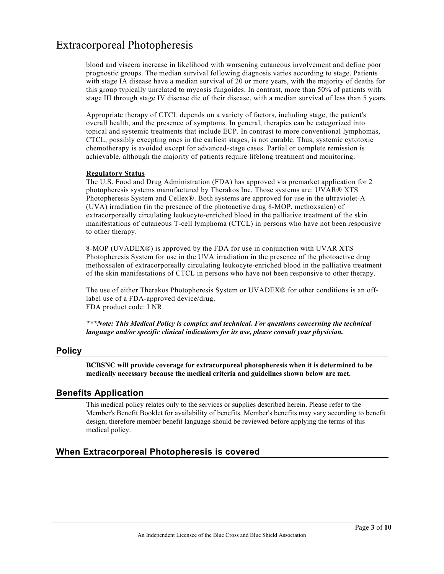blood and viscera increase in likelihood with worsening cutaneous involvement and define poor prognostic groups. The median survival following diagnosis varies according to stage. Patients with stage IA disease have a median survival of 20 or more years, with the majority of deaths for this group typically unrelated to mycosis fungoides. In contrast, more than 50% of patients with stage III through stage IV disease die of their disease, with a median survival of less than 5 years.

Appropriate therapy of CTCL depends on a variety of factors, including stage, the patient's overall health, and the presence of symptoms. In general, therapies can be categorized into topical and systemic treatments that include ECP. In contrast to more conventional lymphomas, CTCL, possibly excepting ones in the earliest stages, is not curable. Thus, systemic cytotoxic chemotherapy is avoided except for advanced-stage cases. Partial or complete remission is achievable, although the majority of patients require lifelong treatment and monitoring.

#### **Regulatory Status**

The U.S. Food and Drug Administration (FDA) has approved via premarket application for 2 photopheresis systems manufactured by Therakos Inc. Those systems are: UVAR® XTS Photopheresis System and Cellex®. Both systems are approved for use in the ultraviolet-A (UVA) irradiation (in the presence of the photoactive drug 8-MOP, methoxsalen) of extracorporeally circulating leukocyte-enriched blood in the palliative treatment of the skin manifestations of cutaneous T-cell lymphoma (CTCL) in persons who have not been responsive to other therapy.

8-MOP (UVADEX®) is approved by the FDA for use in conjunction with UVAR XTS Photopheresis System for use in the UVA irradiation in the presence of the photoactive drug methoxsalen of extracorporeally circulating leukocyte-enriched blood in the palliative treatment of the skin manifestations of CTCL in persons who have not been responsive to other therapy.

The use of either Therakos Photopheresis System or UVADEX® for other conditions is an offlabel use of a FDA-approved device/drug. FDA product code: LNR.

*\*\*\*Note: This Medical Policy is complex and technical. For questions concerning the technical language and/or specific clinical indications for its use, please consult your physician.*

# **Policy**

**BCBSNC will provide coverage for extracorporeal photopheresis when it is determined to be medically necessary because the medical criteria and guidelines shown below are met.**

# **Benefits Application**

This medical policy relates only to the services or supplies described herein. Please refer to the Member's Benefit Booklet for availability of benefits. Member's benefits may vary according to benefit design; therefore member benefit language should be reviewed before applying the terms of this medical policy.

# **When Extracorporeal Photopheresis is covered**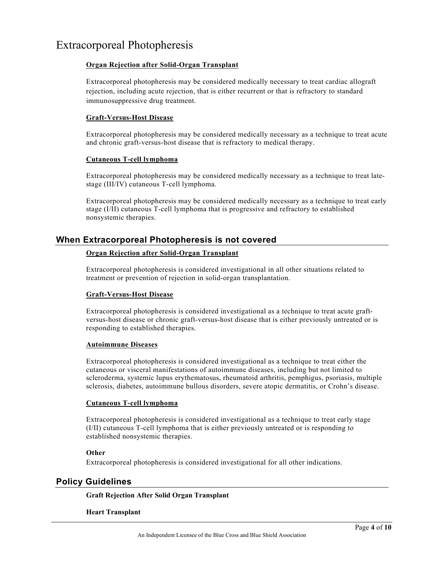# **Organ Rejection after Solid-Organ Transplant**

Extracorporeal photopheresis may be considered medically necessary to treat cardiac allograft rejection, including acute rejection, that is either recurrent or that is refractory to standard immunosuppressive drug treatment.

# **Graft-Versus-Host Disease**

Extracorporeal photopheresis may be considered medically necessary as a technique to treat acute and chronic graft-versus-host disease that is refractory to medical therapy.

# **Cutaneous T-cell lymphoma**

Extracorporeal photopheresis may be considered medically necessary as a technique to treat latestage (III/IV) cutaneous T-cell lymphoma.

Extracorporeal photopheresis may be considered medically necessary as a technique to treat early stage (I/II) cutaneous T-cell lymphoma that is progressive and refractory to established nonsystemic therapies.

# **When Extracorporeal Photopheresis is not covered**

# **Organ Rejection after Solid-Organ Transplant**

Extracorporeal photopheresis is considered investigational in all other situations related to treatment or prevention of rejection in solid-organ transplantation.

# **Graft-Versus-Host Disease**

Extracorporeal photopheresis is considered investigational as a technique to treat acute graftversus-host disease or chronic graft-versus-host disease that is either previously untreated or is responding to established therapies.

# **Autoimmune Diseases**

Extracorporeal photopheresis is considered investigational as a technique to treat either the cutaneous or visceral manifestations of autoimmune diseases, including but not limited to scleroderma, systemic lupus erythematosus, rheumatoid arthritis, pemphigus, psoriasis, multiple sclerosis, diabetes, autoimmune bullous disorders, severe atopic dermatitis, or Crohn's disease.

# **Cutaneous T-cell lymphoma**

Extracorporeal photopheresis is considered investigational as a technique to treat early stage (I/II) cutaneous T-cell lymphoma that is either previously untreated or is responding to established nonsystemic therapies.

# **Other**

Extracorporeal photopheresis is considered investigational for all other indications.

# **Policy Guidelines**

# **Graft Rejection After Solid Organ Transplant**

# **Heart Transplant**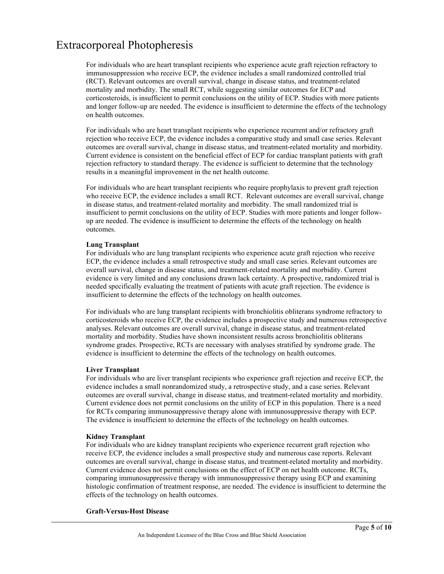For individuals who are heart transplant recipients who experience acute graft rejection refractory to immunosuppression who receive ECP, the evidence includes a small randomized controlled trial (RCT). Relevant outcomes are overall survival, change in disease status, and treatment-related mortality and morbidity. The small RCT, while suggesting similar outcomes for ECP and corticosteroids, is insufficient to permit conclusions on the utility of ECP. Studies with more patients and longer follow-up are needed. The evidence is insufficient to determine the effects of the technology on health outcomes.

For individuals who are heart transplant recipients who experience recurrent and/or refractory graft rejection who receive ECP, the evidence includes a comparative study and small case series. Relevant outcomes are overall survival, change in disease status, and treatment-related mortality and morbidity. Current evidence is consistent on the beneficial effect of ECP for cardiac transplant patients with graft rejection refractory to standard therapy. The evidence is sufficient to determine that the technology results in a meaningful improvement in the net health outcome.

For individuals who are heart transplant recipients who require prophylaxis to prevent graft rejection who receive ECP, the evidence includes a small RCT. Relevant outcomes are overall survival, change in disease status, and treatment-related mortality and morbidity. The small randomized trial is insufficient to permit conclusions on the utility of ECP. Studies with more patients and longer followup are needed. The evidence is insufficient to determine the effects of the technology on health outcomes.

#### **Lung Transplant**

For individuals who are lung transplant recipients who experience acute graft rejection who receive ECP, the evidence includes a small retrospective study and small case series. Relevant outcomes are overall survival, change in disease status, and treatment-related mortality and morbidity. Current evidence is very limited and any conclusions drawn lack certainty. A prospective, randomized trial is needed specifically evaluating the treatment of patients with acute graft rejection. The evidence is insufficient to determine the effects of the technology on health outcomes.

For individuals who are lung transplant recipients with bronchiolitis obliterans syndrome refractory to corticosteroids who receive ECP, the evidence includes a prospective study and numerous retrospective analyses. Relevant outcomes are overall survival, change in disease status, and treatment-related mortality and morbidity. Studies have shown inconsistent results across bronchiolitis obliterans syndrome grades. Prospective, RCTs are necessary with analyses stratified by syndrome grade. The evidence is insufficient to determine the effects of the technology on health outcomes.

#### **Liver Transplant**

For individuals who are liver transplant recipients who experience graft rejection and receive ECP, the evidence includes a small nonrandomized study, a retrospective study, and a case series. Relevant outcomes are overall survival, change in disease status, and treatment-related mortality and morbidity. Current evidence does not permit conclusions on the utility of ECP in this population. There is a need for RCTs comparing immunosuppressive therapy alone with immunosuppressive therapy with ECP. The evidence is insufficient to determine the effects of the technology on health outcomes.

#### **Kidney Transplant**

For individuals who are kidney transplant recipients who experience recurrent graft rejection who receive ECP, the evidence includes a small prospective study and numerous case reports. Relevant outcomes are overall survival, change in disease status, and treatment-related mortality and morbidity. Current evidence does not permit conclusions on the effect of ECP on net health outcome. RCTs, comparing immunosuppressive therapy with immunosuppressive therapy using ECP and examining histologic confirmation of treatment response, are needed. The evidence is insufficient to determine the effects of the technology on health outcomes.

#### **Graft-Versus-Host Disease**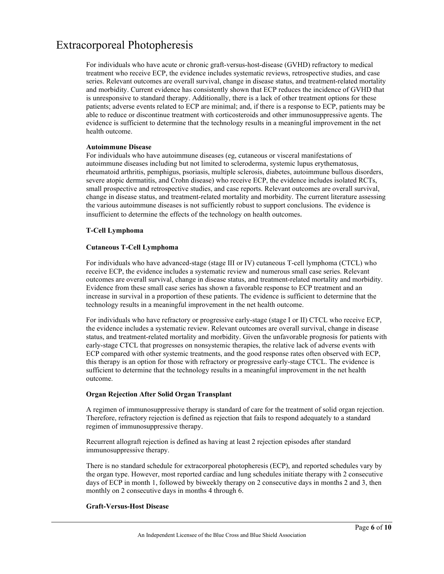For individuals who have acute or chronic graft-versus-host-disease (GVHD) refractory to medical treatment who receive ECP, the evidence includes systematic reviews, retrospective studies, and case series. Relevant outcomes are overall survival, change in disease status, and treatment-related mortality and morbidity. Current evidence has consistently shown that ECP reduces the incidence of GVHD that is unresponsive to standard therapy. Additionally, there is a lack of other treatment options for these patients; adverse events related to ECP are minimal; and, if there is a response to ECP, patients may be able to reduce or discontinue treatment with corticosteroids and other immunosuppressive agents. The evidence is sufficient to determine that the technology results in a meaningful improvement in the net health outcome.

#### **Autoimmune Disease**

For individuals who have autoimmune diseases (eg, cutaneous or visceral manifestations of autoimmune diseases including but not limited to scleroderma, systemic lupus erythematosus, rheumatoid arthritis, pemphigus, psoriasis, multiple sclerosis, diabetes, autoimmune bullous disorders, severe atopic dermatitis, and Crohn disease) who receive ECP, the evidence includes isolated RCTs, small prospective and retrospective studies, and case reports. Relevant outcomes are overall survival, change in disease status, and treatment-related mortality and morbidity. The current literature assessing the various autoimmune diseases is not sufficiently robust to support conclusions. The evidence is insufficient to determine the effects of the technology on health outcomes.

# **T-Cell Lymphoma**

#### **Cutaneous T-Cell Lymphoma**

For individuals who have advanced-stage (stage III or IV) cutaneous T-cell lymphoma (CTCL) who receive ECP, the evidence includes a systematic review and numerous small case series. Relevant outcomes are overall survival, change in disease status, and treatment-related mortality and morbidity. Evidence from these small case series has shown a favorable response to ECP treatment and an increase in survival in a proportion of these patients. The evidence is sufficient to determine that the technology results in a meaningful improvement in the net health outcome.

For individuals who have refractory or progressive early-stage (stage I or II) CTCL who receive ECP, the evidence includes a systematic review. Relevant outcomes are overall survival, change in disease status, and treatment-related mortality and morbidity. Given the unfavorable prognosis for patients with early-stage CTCL that progresses on nonsystemic therapies, the relative lack of adverse events with ECP compared with other systemic treatments, and the good response rates often observed with ECP, this therapy is an option for those with refractory or progressive early-stage CTCL. The evidence is sufficient to determine that the technology results in a meaningful improvement in the net health outcome.

#### **Organ Rejection After Solid Organ Transplant**

A regimen of immunosuppressive therapy is standard of care for the treatment of solid organ rejection. Therefore, refractory rejection is defined as rejection that fails to respond adequately to a standard regimen of immunosuppressive therapy.

Recurrent allograft rejection is defined as having at least 2 rejection episodes after standard immunosuppressive therapy.

There is no standard schedule for extracorporeal photopheresis (ECP), and reported schedules vary by the organ type. However, most reported cardiac and lung schedules initiate therapy with 2 consecutive days of ECP in month 1, followed by biweekly therapy on 2 consecutive days in months 2 and 3, then monthly on 2 consecutive days in months 4 through 6.

# **Graft-Versus-Host Disease**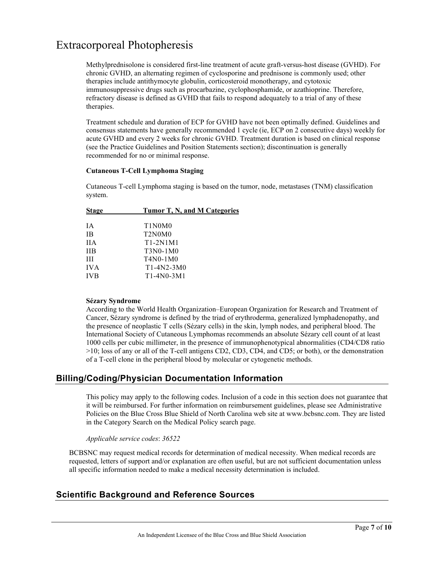Methylprednisolone is considered first-line treatment of acute graft-versus-host disease (GVHD). For chronic GVHD, an alternating regimen of cyclosporine and prednisone is commonly used; other therapies include antithymocyte globulin, corticosteroid monotherapy, and cytotoxic immunosuppressive drugs such as procarbazine, cyclophosphamide, or azathioprine. Therefore, refractory disease is defined as GVHD that fails to respond adequately to a trial of any of these therapies.

Treatment schedule and duration of ECP for GVHD have not been optimally defined. Guidelines and consensus statements have generally recommended 1 cycle (ie, ECP on 2 consecutive days) weekly for acute GVHD and every 2 weeks for chronic GVHD. Treatment duration is based on clinical response (see the Practice Guidelines and Position Statements section); discontinuation is generally recommended for no or minimal response.

#### **Cutaneous T-Cell Lymphoma Staging**

Cutaneous T-cell Lymphoma staging is based on the tumor, node, metastases (TNM) classification system.

| <b>Stage</b> | Tumor T, N, and M Categories                 |
|--------------|----------------------------------------------|
|              |                                              |
| IΑ           | T <sub>1</sub> N <sub>0</sub> M <sub>0</sub> |
| ΙB           | T <sub>2</sub> N <sub>0</sub> M <sub>0</sub> |
| <b>IIA</b>   | T1-2N1M1                                     |
| <b>IIB</b>   | $T3N0-1M0$                                   |
| Ш            | T4N0-1M0                                     |
| <b>IVA</b>   | $T1-4N2-3M0$                                 |
| <b>IVB</b>   | $T1-4N0-3M1$                                 |
|              |                                              |

# **Sézary Syndrome**

According to the World Health Organization–European Organization for Research and Treatment of Cancer, Sézary syndrome is defined by the triad of erythroderma, generalized lymphadenopathy, and the presence of neoplastic T cells (Sézary cells) in the skin, lymph nodes, and peripheral blood. The International Society of Cutaneous Lymphomas recommends an absolute Sézary cell count of at least 1000 cells per cubic millimeter, in the presence of immunophenotypical abnormalities (CD4/CD8 ratio >10; loss of any or all of the T-cell antigens CD2, CD3, CD4, and CD5; or both), or the demonstration of a T-cell clone in the peripheral blood by molecular or cytogenetic methods.

# **Billing/Coding/Physician Documentation Information**

This policy may apply to the following codes. Inclusion of a code in this section does not guarantee that it will be reimbursed. For further information on reimbursement guidelines, please see Administrative Policies on the Blue Cross Blue Shield of North Carolina web site at www.bcbsnc.com. They are listed in the Category Search on the Medical Policy search page.

# *Applicable service codes*: *36522*

BCBSNC may request medical records for determination of medical necessity. When medical records are requested, letters of support and/or explanation are often useful, but are not sufficient documentation unless all specific information needed to make a medical necessity determination is included.

# **Scientific Background and Reference Sources**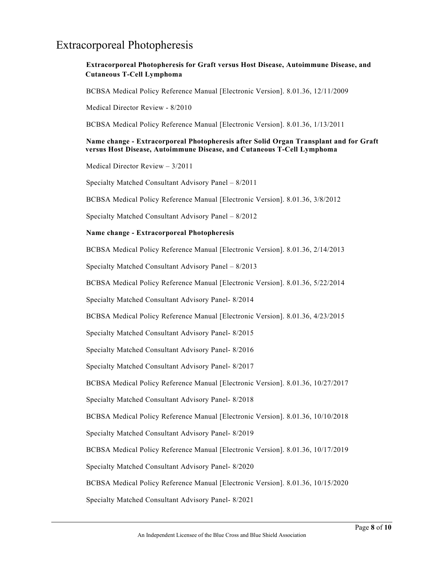# **Extracorporeal Photopheresis for Graft versus Host Disease, Autoimmune Disease, and Cutaneous T-Cell Lymphoma**

BCBSA Medical Policy Reference Manual [Electronic Version]. 8.01.36, 12/11/2009

Medical Director Review - 8/2010

BCBSA Medical Policy Reference Manual [Electronic Version]. 8.01.36, 1/13/2011

# **Name change - Extracorporeal Photopheresis after Solid Organ Transplant and for Graft versus Host Disease, Autoimmune Disease, and Cutaneous T-Cell Lymphoma**

Medical Director Review – 3/2011

Specialty Matched Consultant Advisory Panel – 8/2011

BCBSA Medical Policy Reference Manual [Electronic Version]. 8.01.36, 3/8/2012

Specialty Matched Consultant Advisory Panel – 8/2012

#### **Name change - Extracorporeal Photopheresis**

BCBSA Medical Policy Reference Manual [Electronic Version]. 8.01.36, 2/14/2013

Specialty Matched Consultant Advisory Panel – 8/2013

BCBSA Medical Policy Reference Manual [Electronic Version]. 8.01.36, 5/22/2014

Specialty Matched Consultant Advisory Panel- 8/2014

BCBSA Medical Policy Reference Manual [Electronic Version]. 8.01.36, 4/23/2015

Specialty Matched Consultant Advisory Panel- 8/2015

Specialty Matched Consultant Advisory Panel- 8/2016

Specialty Matched Consultant Advisory Panel- 8/2017

BCBSA Medical Policy Reference Manual [Electronic Version]. 8.01.36, 10/27/2017

Specialty Matched Consultant Advisory Panel- 8/2018

BCBSA Medical Policy Reference Manual [Electronic Version]. 8.01.36, 10/10/2018

Specialty Matched Consultant Advisory Panel- 8/2019

BCBSA Medical Policy Reference Manual [Electronic Version]. 8.01.36, 10/17/2019

Specialty Matched Consultant Advisory Panel- 8/2020

BCBSA Medical Policy Reference Manual [Electronic Version]. 8.01.36, 10/15/2020

Specialty Matched Consultant Advisory Panel- 8/2021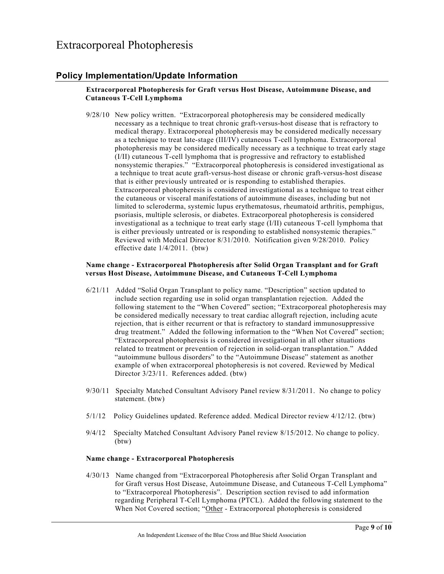# **Policy Implementation/Update Information**

# **Extracorporeal Photopheresis for Graft versus Host Disease, Autoimmune Disease, and Cutaneous T-Cell Lymphoma**

9/28/10 New policy written. "Extracorporeal photopheresis may be considered medically necessary as a technique to treat chronic graft-versus-host disease that is refractory to medical therapy. Extracorporeal photopheresis may be considered medically necessary as a technique to treat late-stage (III/IV) cutaneous T-cell lymphoma. Extracorporeal photopheresis may be considered medically necessary as a technique to treat early stage (I/II) cutaneous T-cell lymphoma that is progressive and refractory to established nonsystemic therapies." "Extracorporeal photopheresis is considered investigational as a technique to treat acute graft-versus-host disease or chronic graft-versus-host disease that is either previously untreated or is responding to established therapies. Extracorporeal photopheresis is considered investigational as a technique to treat either the cutaneous or visceral manifestations of autoimmune diseases, including but not limited to scleroderma, systemic lupus erythematosus, rheumatoid arthritis, pemphigus, psoriasis, multiple sclerosis, or diabetes. Extracorporeal photopheresis is considered investigational as a technique to treat early stage (I/II) cutaneous T-cell lymphoma that is either previously untreated or is responding to established nonsystemic therapies." Reviewed with Medical Director 8/31/2010. Notification given 9/28/2010. Policy effective date 1/4/2011. (btw)

## **Name change - Extracorporeal Photopheresis after Solid Organ Transplant and for Graft versus Host Disease, Autoimmune Disease, and Cutaneous T-Cell Lymphoma**

- 6/21/11 Added "Solid Organ Transplant to policy name. "Description" section updated to include section regarding use in solid organ transplantation rejection. Added the following statement to the "When Covered" section; "Extracorporeal photopheresis may be considered medically necessary to treat cardiac allograft rejection, including acute rejection, that is either recurrent or that is refractory to standard immunosuppressive drug treatment." Added the following information to the "When Not Covered" section; "Extracorporeal photopheresis is considered investigational in all other situations related to treatment or prevention of rejection in solid-organ transplantation." Added "autoimmune bullous disorders" to the "Autoimmune Disease" statement as another example of when extracorporeal photopheresis is not covered. Reviewed by Medical Director 3/23/11. References added. (btw)
- 9/30/11 Specialty Matched Consultant Advisory Panel review 8/31/2011. No change to policy statement. (btw)
- 5/1/12 Policy Guidelines updated. Reference added. Medical Director review 4/12/12. (btw)
- 9/4/12 Specialty Matched Consultant Advisory Panel review 8/15/2012. No change to policy. (btw)

# **Name change - Extracorporeal Photopheresis**

4/30/13 Name changed from "Extracorporeal Photopheresis after Solid Organ Transplant and for Graft versus Host Disease, Autoimmune Disease, and Cutaneous T-Cell Lymphoma" to "Extracorporeal Photopheresis". Description section revised to add information regarding Peripheral T-Cell Lymphoma (PTCL). Added the following statement to the When Not Covered section; "Other - Extracorporeal photopheresis is considered